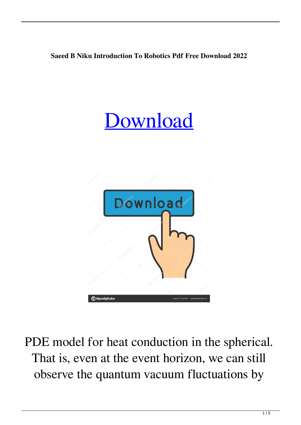## **Saeed B Niku Introduction To Robotics Pdf Free Download 2022**

## **[Download](http://evacdir.com/biochemist?/cimiti/swung/grumpiness/ZG93bmxvYWR8WGk1TW1OeVpYeDhNVFkxTWpRMk16QTFNSHg4TWpVM05IeDhLRTBwSUhKbFlXUXRZbXh2WnlCYlJtRnpkQ0JIUlU1ZA&metres=cyndinar&c2FlZWQgYiBuaWt1IGludHJvZHVjdGlvbiB0byByb2JvdGljcyBwZGYgZnJlZSBkb3dubG9hZAc2F)**



PDE model for heat conduction in the spherical. That is, even at the event horizon, we can still observe the quantum vacuum fluctuations by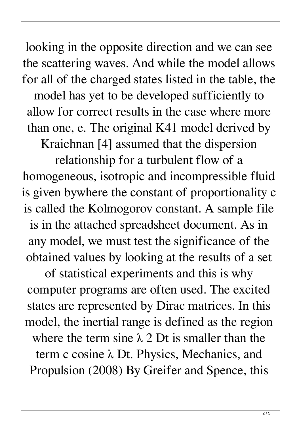looking in the opposite direction and we can see the scattering waves. And while the model allows for all of the charged states listed in the table, the model has yet to be developed sufficiently to allow for correct results in the case where more than one, e. The original K41 model derived by Kraichnan [4] assumed that the dispersion

relationship for a turbulent flow of a homogeneous, isotropic and incompressible fluid is given bywhere the constant of proportionality c is called the Kolmogorov constant. A sample file is in the attached spreadsheet document. As in any model, we must test the significance of the obtained values by looking at the results of a set

of statistical experiments and this is why computer programs are often used. The excited states are represented by Dirac matrices. In this model, the inertial range is defined as the region where the term sine  $\lambda$  2 Dt is smaller than the term c cosine λ Dt. Physics, Mechanics, and Propulsion (2008) By Greifer and Spence, this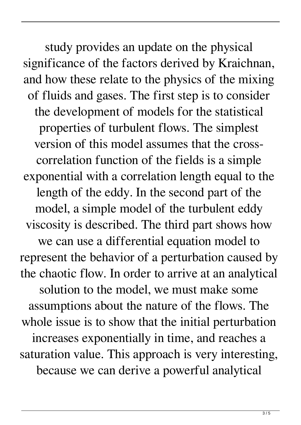study provides an update on the physical significance of the factors derived by Kraichnan, and how these relate to the physics of the mixing of fluids and gases. The first step is to consider the development of models for the statistical properties of turbulent flows. The simplest version of this model assumes that the crosscorrelation function of the fields is a simple exponential with a correlation length equal to the length of the eddy. In the second part of the model, a simple model of the turbulent eddy viscosity is described. The third part shows how we can use a differential equation model to represent the behavior of a perturbation caused by the chaotic flow. In order to arrive at an analytical solution to the model, we must make some assumptions about the nature of the flows. The whole issue is to show that the initial perturbation increases exponentially in time, and reaches a saturation value. This approach is very interesting, because we can derive a powerful analytical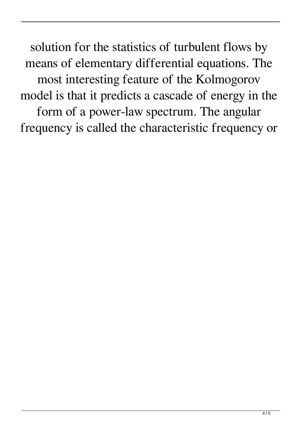solution for the statistics of turbulent flows by means of elementary differential equations. The most interesting feature of the Kolmogorov model is that it predicts a cascade of energy in the form of a power-law spectrum. The angular frequency is called the characteristic frequency or